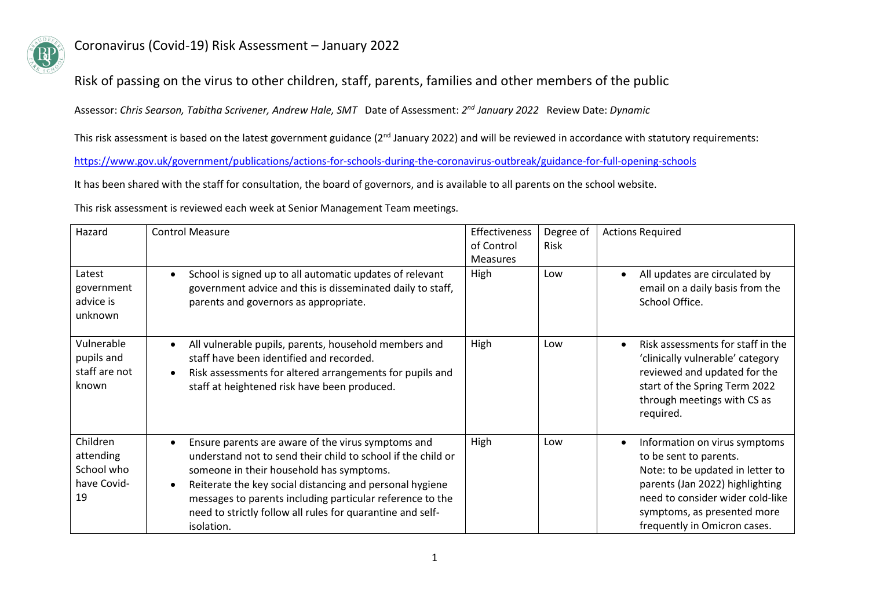

#### Risk of passing on the virus to other children, staff, parents, families and other members of the public

Assessor: *Chris Searson, Tabitha Scrivener, Andrew Hale, SMT* Date of Assessment: *2 nd January 2022* Review Date: *Dynamic*

This risk assessment is based on the latest government guidance (2<sup>nd</sup> January 2022) and will be reviewed in accordance with statutory requirements:

<https://www.gov.uk/government/publications/actions-for-schools-during-the-coronavirus-outbreak/guidance-for-full-opening-schools>

It has been shared with the staff for consultation, the board of governors, and is available to all parents on the school website.

This risk assessment is reviewed each week at Senior Management Team meetings.

| Hazard                                                   | <b>Control Measure</b>                                                                                                                                                                                                                                                                                                                                              | <b>Effectiveness</b><br>of Control | Degree of<br>Risk | <b>Actions Required</b>                                                                                                                                                                                                           |
|----------------------------------------------------------|---------------------------------------------------------------------------------------------------------------------------------------------------------------------------------------------------------------------------------------------------------------------------------------------------------------------------------------------------------------------|------------------------------------|-------------------|-----------------------------------------------------------------------------------------------------------------------------------------------------------------------------------------------------------------------------------|
|                                                          |                                                                                                                                                                                                                                                                                                                                                                     | <b>Measures</b>                    |                   |                                                                                                                                                                                                                                   |
| Latest<br>government<br>advice is<br>unknown             | School is signed up to all automatic updates of relevant<br>government advice and this is disseminated daily to staff,<br>parents and governors as appropriate.                                                                                                                                                                                                     | High                               | Low               | All updates are circulated by<br>email on a daily basis from the<br>School Office.                                                                                                                                                |
| Vulnerable<br>pupils and<br>staff are not<br>known       | All vulnerable pupils, parents, household members and<br>staff have been identified and recorded.<br>Risk assessments for altered arrangements for pupils and<br>staff at heightened risk have been produced.                                                                                                                                                       | High                               | Low               | Risk assessments for staff in the<br>'clinically vulnerable' category<br>reviewed and updated for the<br>start of the Spring Term 2022<br>through meetings with CS as<br>required.                                                |
| Children<br>attending<br>School who<br>have Covid-<br>19 | Ensure parents are aware of the virus symptoms and<br>understand not to send their child to school if the child or<br>someone in their household has symptoms.<br>Reiterate the key social distancing and personal hygiene<br>messages to parents including particular reference to the<br>need to strictly follow all rules for quarantine and self-<br>isolation. | High                               | Low               | Information on virus symptoms<br>to be sent to parents.<br>Note: to be updated in letter to<br>parents (Jan 2022) highlighting<br>need to consider wider cold-like<br>symptoms, as presented more<br>frequently in Omicron cases. |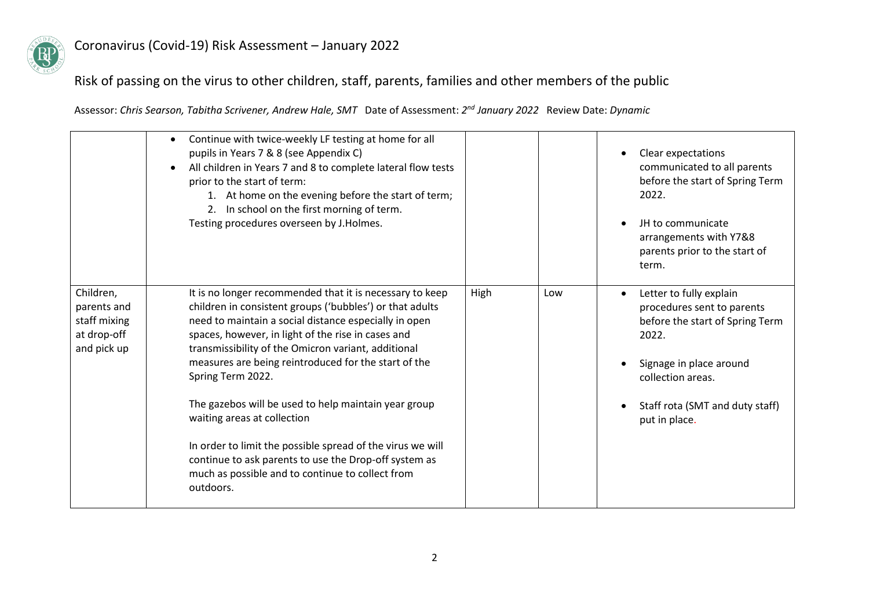

## Risk of passing on the virus to other children, staff, parents, families and other members of the public

|                                                                        | Continue with twice-weekly LF testing at home for all<br>pupils in Years 7 & 8 (see Appendix C)<br>All children in Years 7 and 8 to complete lateral flow tests<br>prior to the start of term:<br>1. At home on the evening before the start of term;<br>2. In school on the first morning of term.<br>Testing procedures overseen by J.Holmes.                                                                                                                                                                                                                                                                                                        |      |     | Clear expectations<br>communicated to all parents<br>before the start of Spring Term<br>2022.<br>JH to communicate<br>arrangements with Y7&8<br>parents prior to the start of<br>term.                             |
|------------------------------------------------------------------------|--------------------------------------------------------------------------------------------------------------------------------------------------------------------------------------------------------------------------------------------------------------------------------------------------------------------------------------------------------------------------------------------------------------------------------------------------------------------------------------------------------------------------------------------------------------------------------------------------------------------------------------------------------|------|-----|--------------------------------------------------------------------------------------------------------------------------------------------------------------------------------------------------------------------|
| Children,<br>parents and<br>staff mixing<br>at drop-off<br>and pick up | It is no longer recommended that it is necessary to keep<br>children in consistent groups ('bubbles') or that adults<br>need to maintain a social distance especially in open<br>spaces, however, in light of the rise in cases and<br>transmissibility of the Omicron variant, additional<br>measures are being reintroduced for the start of the<br>Spring Term 2022.<br>The gazebos will be used to help maintain year group<br>waiting areas at collection<br>In order to limit the possible spread of the virus we will<br>continue to ask parents to use the Drop-off system as<br>much as possible and to continue to collect from<br>outdoors. | High | Low | Letter to fully explain<br>$\bullet$<br>procedures sent to parents<br>before the start of Spring Term<br>2022.<br>Signage in place around<br>collection areas.<br>Staff rota (SMT and duty staff)<br>put in place. |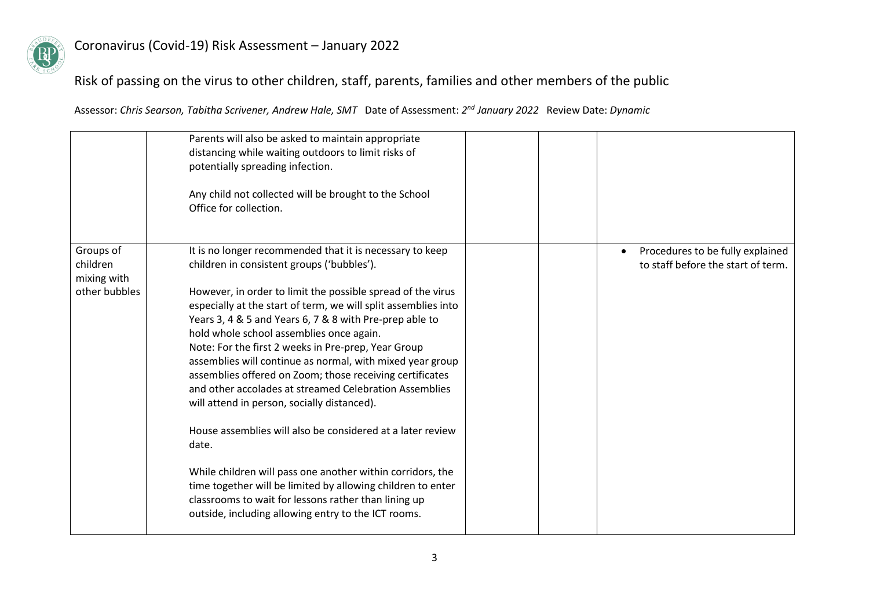

# Risk of passing on the virus to other children, staff, parents, families and other members of the public

|                                                       | Parents will also be asked to maintain appropriate<br>distancing while waiting outdoors to limit risks of<br>potentially spreading infection.<br>Any child not collected will be brought to the School<br>Office for collection.                                                                                                                                                                                                                                                                                                                                                                                                                                                                                                                                                                                                                                                                                                                           |  |                                                                        |
|-------------------------------------------------------|------------------------------------------------------------------------------------------------------------------------------------------------------------------------------------------------------------------------------------------------------------------------------------------------------------------------------------------------------------------------------------------------------------------------------------------------------------------------------------------------------------------------------------------------------------------------------------------------------------------------------------------------------------------------------------------------------------------------------------------------------------------------------------------------------------------------------------------------------------------------------------------------------------------------------------------------------------|--|------------------------------------------------------------------------|
| Groups of<br>children<br>mixing with<br>other bubbles | It is no longer recommended that it is necessary to keep<br>children in consistent groups ('bubbles').<br>However, in order to limit the possible spread of the virus<br>especially at the start of term, we will split assemblies into<br>Years 3, 4 & 5 and Years 6, 7 & 8 with Pre-prep able to<br>hold whole school assemblies once again.<br>Note: For the first 2 weeks in Pre-prep, Year Group<br>assemblies will continue as normal, with mixed year group<br>assemblies offered on Zoom; those receiving certificates<br>and other accolades at streamed Celebration Assemblies<br>will attend in person, socially distanced).<br>House assemblies will also be considered at a later review<br>date.<br>While children will pass one another within corridors, the<br>time together will be limited by allowing children to enter<br>classrooms to wait for lessons rather than lining up<br>outside, including allowing entry to the ICT rooms. |  | Procedures to be fully explained<br>to staff before the start of term. |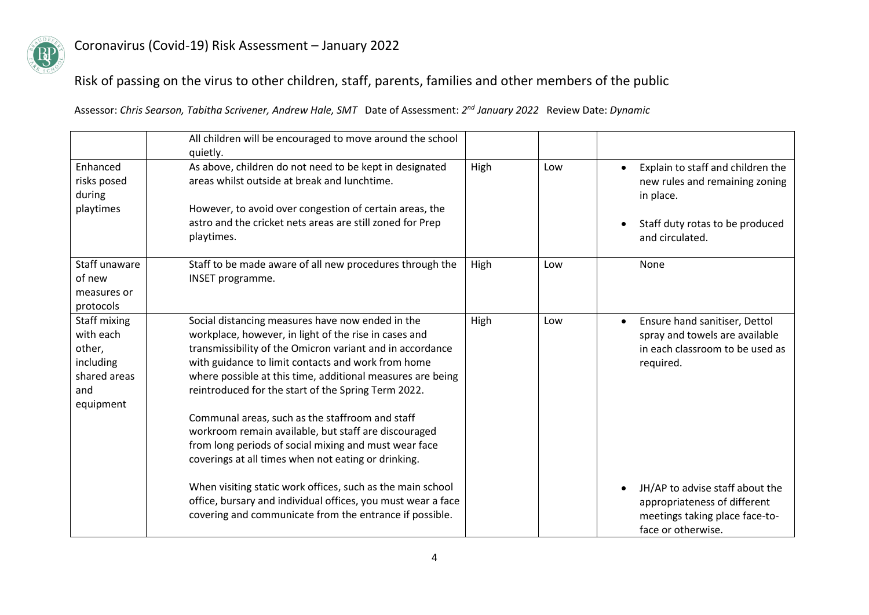

## Risk of passing on the virus to other children, staff, parents, families and other members of the public

|                                                                                      | All children will be encouraged to move around the school<br>quietly.                                                                                                                                                                                                                                                                                                                                                                                                                                                                                                        |      |     |                                                                                                                                        |
|--------------------------------------------------------------------------------------|------------------------------------------------------------------------------------------------------------------------------------------------------------------------------------------------------------------------------------------------------------------------------------------------------------------------------------------------------------------------------------------------------------------------------------------------------------------------------------------------------------------------------------------------------------------------------|------|-----|----------------------------------------------------------------------------------------------------------------------------------------|
| Enhanced<br>risks posed<br>during<br>playtimes                                       | As above, children do not need to be kept in designated<br>areas whilst outside at break and lunchtime.<br>However, to avoid over congestion of certain areas, the<br>astro and the cricket nets areas are still zoned for Prep<br>playtimes.                                                                                                                                                                                                                                                                                                                                | High | Low | Explain to staff and children the<br>new rules and remaining zoning<br>in place.<br>Staff duty rotas to be produced<br>and circulated. |
| Staff unaware<br>of new<br>measures or<br>protocols                                  | Staff to be made aware of all new procedures through the<br>INSET programme.                                                                                                                                                                                                                                                                                                                                                                                                                                                                                                 | High | Low | None                                                                                                                                   |
| Staff mixing<br>with each<br>other,<br>including<br>shared areas<br>and<br>equipment | Social distancing measures have now ended in the<br>workplace, however, in light of the rise in cases and<br>transmissibility of the Omicron variant and in accordance<br>with guidance to limit contacts and work from home<br>where possible at this time, additional measures are being<br>reintroduced for the start of the Spring Term 2022.<br>Communal areas, such as the staffroom and staff<br>workroom remain available, but staff are discouraged<br>from long periods of social mixing and must wear face<br>coverings at all times when not eating or drinking. | High | Low | Ensure hand sanitiser, Dettol<br>spray and towels are available<br>in each classroom to be used as<br>required.                        |
|                                                                                      | When visiting static work offices, such as the main school<br>office, bursary and individual offices, you must wear a face<br>covering and communicate from the entrance if possible.                                                                                                                                                                                                                                                                                                                                                                                        |      |     | JH/AP to advise staff about the<br>appropriateness of different<br>meetings taking place face-to-<br>face or otherwise.                |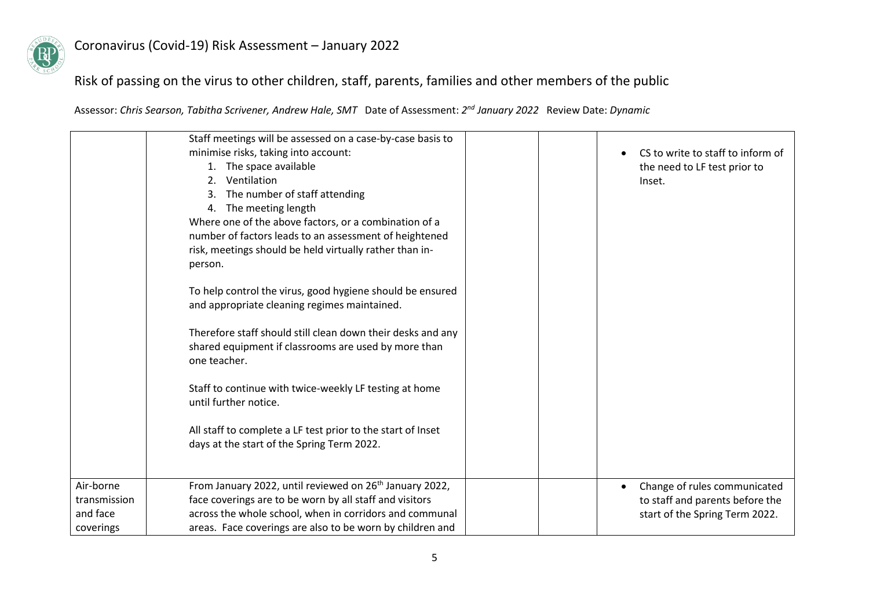

## Risk of passing on the virus to other children, staff, parents, families and other members of the public

|                                                    | Staff meetings will be assessed on a case-by-case basis to<br>minimise risks, taking into account:<br>1. The space available<br>Ventilation<br>2.<br>The number of staff attending<br>4. The meeting length<br>Where one of the above factors, or a combination of a<br>number of factors leads to an assessment of heightened<br>risk, meetings should be held virtually rather than in-<br>person.<br>To help control the virus, good hygiene should be ensured | CS to write to staff to inform of<br>the need to LF test prior to<br>Inset.                       |
|----------------------------------------------------|-------------------------------------------------------------------------------------------------------------------------------------------------------------------------------------------------------------------------------------------------------------------------------------------------------------------------------------------------------------------------------------------------------------------------------------------------------------------|---------------------------------------------------------------------------------------------------|
|                                                    | and appropriate cleaning regimes maintained.<br>Therefore staff should still clean down their desks and any<br>shared equipment if classrooms are used by more than<br>one teacher.<br>Staff to continue with twice-weekly LF testing at home                                                                                                                                                                                                                     |                                                                                                   |
|                                                    | until further notice.<br>All staff to complete a LF test prior to the start of Inset<br>days at the start of the Spring Term 2022.                                                                                                                                                                                                                                                                                                                                |                                                                                                   |
| Air-borne<br>transmission<br>and face<br>coverings | From January 2022, until reviewed on 26 <sup>th</sup> January 2022,<br>face coverings are to be worn by all staff and visitors<br>across the whole school, when in corridors and communal<br>areas. Face coverings are also to be worn by children and                                                                                                                                                                                                            | Change of rules communicated<br>to staff and parents before the<br>start of the Spring Term 2022. |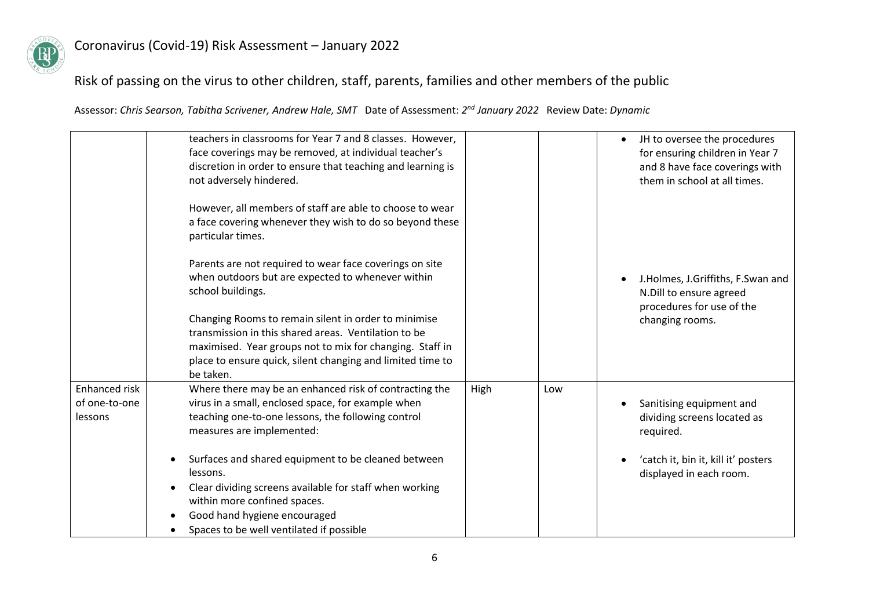

# Risk of passing on the virus to other children, staff, parents, families and other members of the public

|                                           | teachers in classrooms for Year 7 and 8 classes. However,<br>face coverings may be removed, at individual teacher's<br>discretion in order to ensure that teaching and learning is<br>not adversely hindered.                                                                                                                                                                                                                                                                                                            |      |     | JH to oversee the procedures<br>for ensuring children in Year 7<br>and 8 have face coverings with<br>them in school at all times. |
|-------------------------------------------|--------------------------------------------------------------------------------------------------------------------------------------------------------------------------------------------------------------------------------------------------------------------------------------------------------------------------------------------------------------------------------------------------------------------------------------------------------------------------------------------------------------------------|------|-----|-----------------------------------------------------------------------------------------------------------------------------------|
|                                           | However, all members of staff are able to choose to wear<br>a face covering whenever they wish to do so beyond these<br>particular times.<br>Parents are not required to wear face coverings on site<br>when outdoors but are expected to whenever within<br>school buildings.<br>Changing Rooms to remain silent in order to minimise<br>transmission in this shared areas. Ventilation to be<br>maximised. Year groups not to mix for changing. Staff in<br>place to ensure quick, silent changing and limited time to |      |     | J.Holmes, J.Griffiths, F.Swan and<br>N.Dill to ensure agreed<br>procedures for use of the<br>changing rooms.                      |
|                                           | be taken.                                                                                                                                                                                                                                                                                                                                                                                                                                                                                                                |      |     |                                                                                                                                   |
| Enhanced risk<br>of one-to-one<br>lessons | Where there may be an enhanced risk of contracting the<br>virus in a small, enclosed space, for example when<br>teaching one-to-one lessons, the following control<br>measures are implemented:                                                                                                                                                                                                                                                                                                                          | High | Low | Sanitising equipment and<br>dividing screens located as<br>required.                                                              |
|                                           | Surfaces and shared equipment to be cleaned between<br>lessons.                                                                                                                                                                                                                                                                                                                                                                                                                                                          |      |     | 'catch it, bin it, kill it' posters<br>displayed in each room.                                                                    |
|                                           | Clear dividing screens available for staff when working<br>within more confined spaces.                                                                                                                                                                                                                                                                                                                                                                                                                                  |      |     |                                                                                                                                   |
|                                           | Good hand hygiene encouraged<br>Spaces to be well ventilated if possible                                                                                                                                                                                                                                                                                                                                                                                                                                                 |      |     |                                                                                                                                   |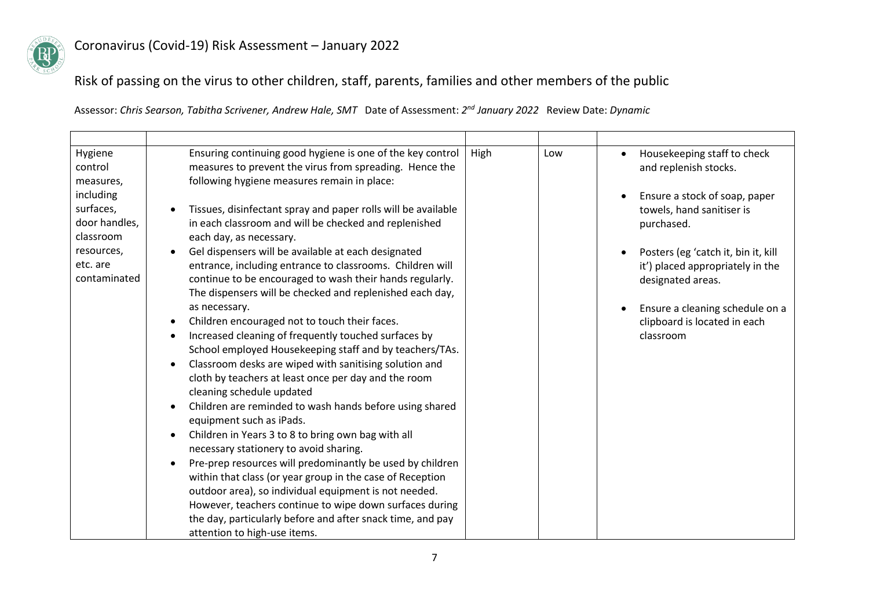

Risk of passing on the virus to other children, staff, parents, families and other members of the public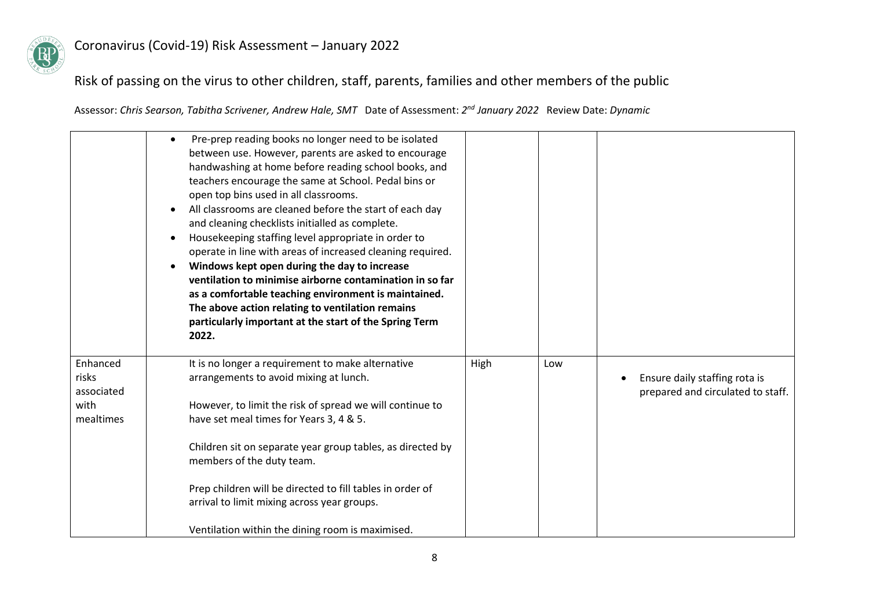

# Risk of passing on the virus to other children, staff, parents, families and other members of the public

|                                                      | Pre-prep reading books no longer need to be isolated<br>between use. However, parents are asked to encourage<br>handwashing at home before reading school books, and<br>teachers encourage the same at School. Pedal bins or<br>open top bins used in all classrooms.<br>All classrooms are cleaned before the start of each day<br>and cleaning checklists initialled as complete.<br>Housekeeping staffing level appropriate in order to<br>operate in line with areas of increased cleaning required.<br>Windows kept open during the day to increase<br>ventilation to minimise airborne contamination in so far<br>as a comfortable teaching environment is maintained.<br>The above action relating to ventilation remains<br>particularly important at the start of the Spring Term<br>2022. |      |     |                                                                    |
|------------------------------------------------------|-----------------------------------------------------------------------------------------------------------------------------------------------------------------------------------------------------------------------------------------------------------------------------------------------------------------------------------------------------------------------------------------------------------------------------------------------------------------------------------------------------------------------------------------------------------------------------------------------------------------------------------------------------------------------------------------------------------------------------------------------------------------------------------------------------|------|-----|--------------------------------------------------------------------|
| Enhanced<br>risks<br>associated<br>with<br>mealtimes | It is no longer a requirement to make alternative<br>arrangements to avoid mixing at lunch.<br>However, to limit the risk of spread we will continue to<br>have set meal times for Years 3, 4 & 5.<br>Children sit on separate year group tables, as directed by<br>members of the duty team.<br>Prep children will be directed to fill tables in order of<br>arrival to limit mixing across year groups.                                                                                                                                                                                                                                                                                                                                                                                           | High | Low | Ensure daily staffing rota is<br>prepared and circulated to staff. |
|                                                      | Ventilation within the dining room is maximised.                                                                                                                                                                                                                                                                                                                                                                                                                                                                                                                                                                                                                                                                                                                                                    |      |     |                                                                    |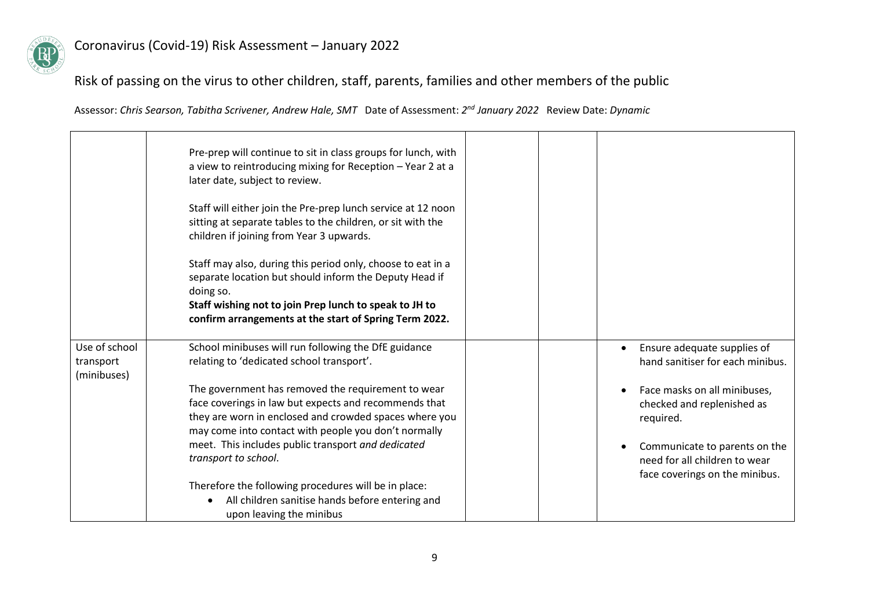

Risk of passing on the virus to other children, staff, parents, families and other members of the public

|                                           | Pre-prep will continue to sit in class groups for lunch, with<br>a view to reintroducing mixing for Reception - Year 2 at a<br>later date, subject to review.<br>Staff will either join the Pre-prep lunch service at 12 noon<br>sitting at separate tables to the children, or sit with the<br>children if joining from Year 3 upwards.<br>Staff may also, during this period only, choose to eat in a<br>separate location but should inform the Deputy Head if<br>doing so.<br>Staff wishing not to join Prep lunch to speak to JH to<br>confirm arrangements at the start of Spring Term 2022. |                                                                                                                                                                             |
|-------------------------------------------|----------------------------------------------------------------------------------------------------------------------------------------------------------------------------------------------------------------------------------------------------------------------------------------------------------------------------------------------------------------------------------------------------------------------------------------------------------------------------------------------------------------------------------------------------------------------------------------------------|-----------------------------------------------------------------------------------------------------------------------------------------------------------------------------|
| Use of school<br>transport<br>(minibuses) | School minibuses will run following the DfE guidance<br>relating to 'dedicated school transport'.                                                                                                                                                                                                                                                                                                                                                                                                                                                                                                  | Ensure adequate supplies of<br>hand sanitiser for each minibus.                                                                                                             |
|                                           | The government has removed the requirement to wear<br>face coverings in law but expects and recommends that<br>they are worn in enclosed and crowded spaces where you<br>may come into contact with people you don't normally<br>meet. This includes public transport and dedicated<br>transport to school.                                                                                                                                                                                                                                                                                        | Face masks on all minibuses,<br>checked and replenished as<br>required.<br>Communicate to parents on the<br>need for all children to wear<br>face coverings on the minibus. |
|                                           | Therefore the following procedures will be in place:<br>All children sanitise hands before entering and<br>$\bullet$<br>upon leaving the minibus                                                                                                                                                                                                                                                                                                                                                                                                                                                   |                                                                                                                                                                             |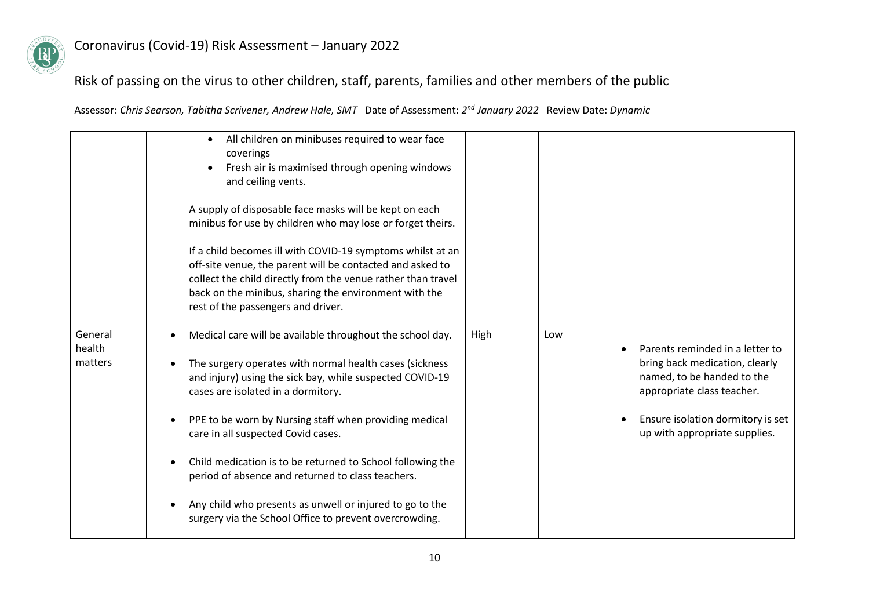

### Risk of passing on the virus to other children, staff, parents, families and other members of the public

|                              | All children on minibuses required to wear face<br>$\bullet$<br>coverings<br>Fresh air is maximised through opening windows<br>and ceiling vents.<br>A supply of disposable face masks will be kept on each<br>minibus for use by children who may lose or forget theirs.<br>If a child becomes ill with COVID-19 symptoms whilst at an<br>off-site venue, the parent will be contacted and asked to<br>collect the child directly from the venue rather than travel<br>back on the minibus, sharing the environment with the<br>rest of the passengers and driver. |      |     |                                                                                                                                                                                                     |
|------------------------------|---------------------------------------------------------------------------------------------------------------------------------------------------------------------------------------------------------------------------------------------------------------------------------------------------------------------------------------------------------------------------------------------------------------------------------------------------------------------------------------------------------------------------------------------------------------------|------|-----|-----------------------------------------------------------------------------------------------------------------------------------------------------------------------------------------------------|
| General<br>health<br>matters | Medical care will be available throughout the school day.<br>The surgery operates with normal health cases (sickness<br>and injury) using the sick bay, while suspected COVID-19<br>cases are isolated in a dormitory.<br>PPE to be worn by Nursing staff when providing medical<br>care in all suspected Covid cases.<br>Child medication is to be returned to School following the<br>period of absence and returned to class teachers.<br>Any child who presents as unwell or injured to go to the<br>surgery via the School Office to prevent overcrowding.     | High | Low | Parents reminded in a letter to<br>bring back medication, clearly<br>named, to be handed to the<br>appropriate class teacher.<br>Ensure isolation dormitory is set<br>up with appropriate supplies. |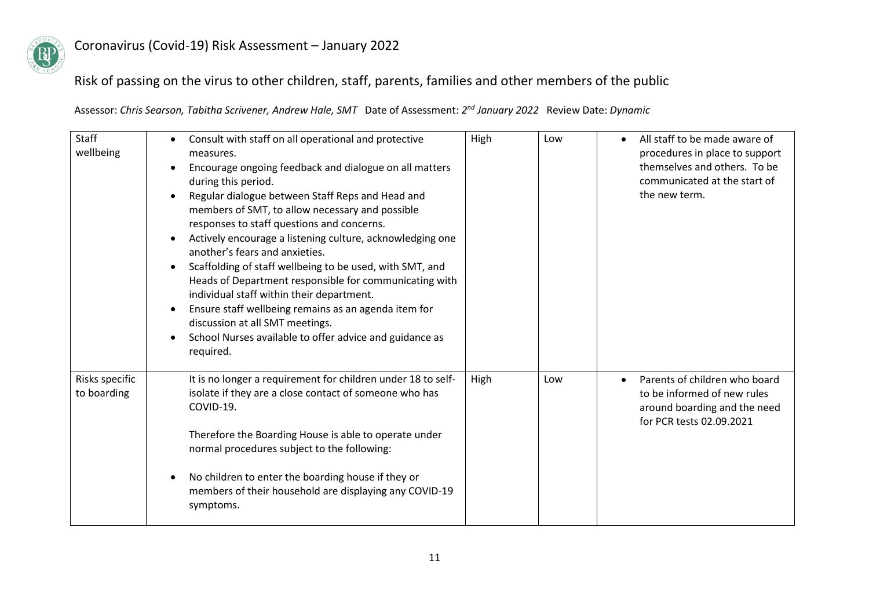

## Risk of passing on the virus to other children, staff, parents, families and other members of the public

| <b>Staff</b><br>wellbeing     | Consult with staff on all operational and protective<br>$\bullet$<br>measures.<br>Encourage ongoing feedback and dialogue on all matters<br>during this period.<br>Regular dialogue between Staff Reps and Head and<br>members of SMT, to allow necessary and possible<br>responses to staff questions and concerns.<br>Actively encourage a listening culture, acknowledging one<br>another's fears and anxieties.<br>Scaffolding of staff wellbeing to be used, with SMT, and<br>Heads of Department responsible for communicating with<br>individual staff within their department.<br>Ensure staff wellbeing remains as an agenda item for<br>discussion at all SMT meetings.<br>School Nurses available to offer advice and guidance as<br>required. | High | Low | All staff to be made aware of<br>procedures in place to support<br>themselves and others. To be<br>communicated at the start of<br>the new term. |
|-------------------------------|-----------------------------------------------------------------------------------------------------------------------------------------------------------------------------------------------------------------------------------------------------------------------------------------------------------------------------------------------------------------------------------------------------------------------------------------------------------------------------------------------------------------------------------------------------------------------------------------------------------------------------------------------------------------------------------------------------------------------------------------------------------|------|-----|--------------------------------------------------------------------------------------------------------------------------------------------------|
| Risks specific<br>to boarding | It is no longer a requirement for children under 18 to self-<br>isolate if they are a close contact of someone who has<br>COVID-19.<br>Therefore the Boarding House is able to operate under<br>normal procedures subject to the following:<br>No children to enter the boarding house if they or<br>members of their household are displaying any COVID-19<br>symptoms.                                                                                                                                                                                                                                                                                                                                                                                  | High | Low | Parents of children who board<br>$\bullet$<br>to be informed of new rules<br>around boarding and the need<br>for PCR tests 02.09.2021            |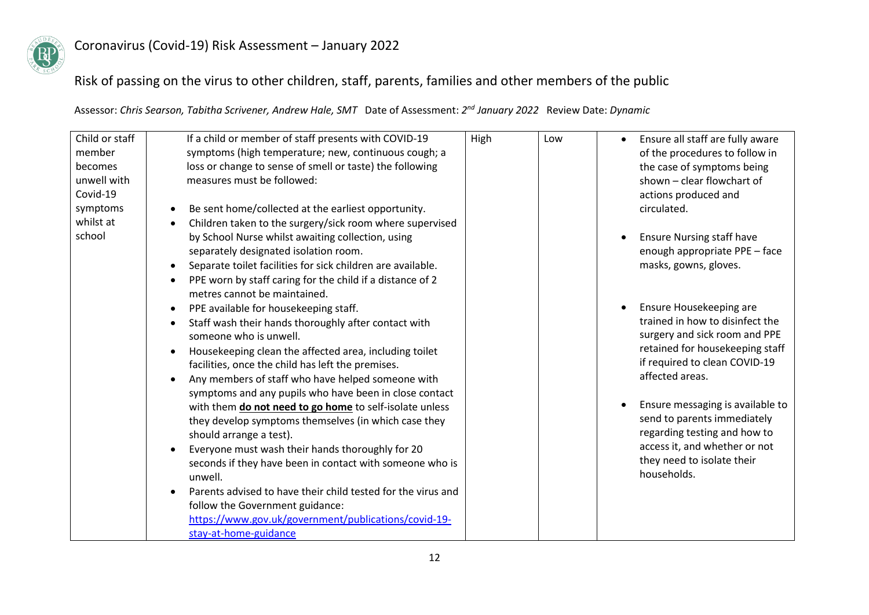

### Risk of passing on the virus to other children, staff, parents, families and other members of the public

| Child or staff | If a child or member of staff presents with COVID-19                     | High | Low | Ensure all staff are fully aware<br>$\bullet$ |
|----------------|--------------------------------------------------------------------------|------|-----|-----------------------------------------------|
| member         | symptoms (high temperature; new, continuous cough; a                     |      |     | of the procedures to follow in                |
| becomes        | loss or change to sense of smell or taste) the following                 |      |     | the case of symptoms being                    |
| unwell with    | measures must be followed:                                               |      |     | shown - clear flowchart of                    |
| Covid-19       |                                                                          |      |     | actions produced and                          |
| symptoms       | Be sent home/collected at the earliest opportunity.                      |      |     | circulated.                                   |
| whilst at      | Children taken to the surgery/sick room where supervised                 |      |     |                                               |
| school         | by School Nurse whilst awaiting collection, using                        |      |     | <b>Ensure Nursing staff have</b>              |
|                | separately designated isolation room.                                    |      |     | enough appropriate PPE - face                 |
|                | Separate toilet facilities for sick children are available.<br>$\bullet$ |      |     | masks, gowns, gloves.                         |
|                | PPE worn by staff caring for the child if a distance of 2<br>$\bullet$   |      |     |                                               |
|                | metres cannot be maintained.                                             |      |     |                                               |
|                | PPE available for housekeeping staff.<br>$\bullet$                       |      |     | Ensure Housekeeping are                       |
|                | Staff wash their hands thoroughly after contact with                     |      |     | trained in how to disinfect the               |
|                | someone who is unwell.                                                   |      |     | surgery and sick room and PPE                 |
|                | Housekeeping clean the affected area, including toilet                   |      |     | retained for housekeeping staff               |
|                | facilities, once the child has left the premises.                        |      |     | if required to clean COVID-19                 |
|                | Any members of staff who have helped someone with<br>$\bullet$           |      |     | affected areas.                               |
|                | symptoms and any pupils who have been in close contact                   |      |     |                                               |
|                | with them do not need to go home to self-isolate unless                  |      |     | Ensure messaging is available to              |
|                | they develop symptoms themselves (in which case they                     |      |     | send to parents immediately                   |
|                | should arrange a test).                                                  |      |     | regarding testing and how to                  |
|                | Everyone must wash their hands thoroughly for 20                         |      |     | access it, and whether or not                 |
|                | seconds if they have been in contact with someone who is                 |      |     | they need to isolate their                    |
|                | unwell.                                                                  |      |     | households.                                   |
|                | Parents advised to have their child tested for the virus and             |      |     |                                               |
|                | follow the Government guidance:                                          |      |     |                                               |
|                | https://www.gov.uk/government/publications/covid-19-                     |      |     |                                               |
|                | stay-at-home-guidance                                                    |      |     |                                               |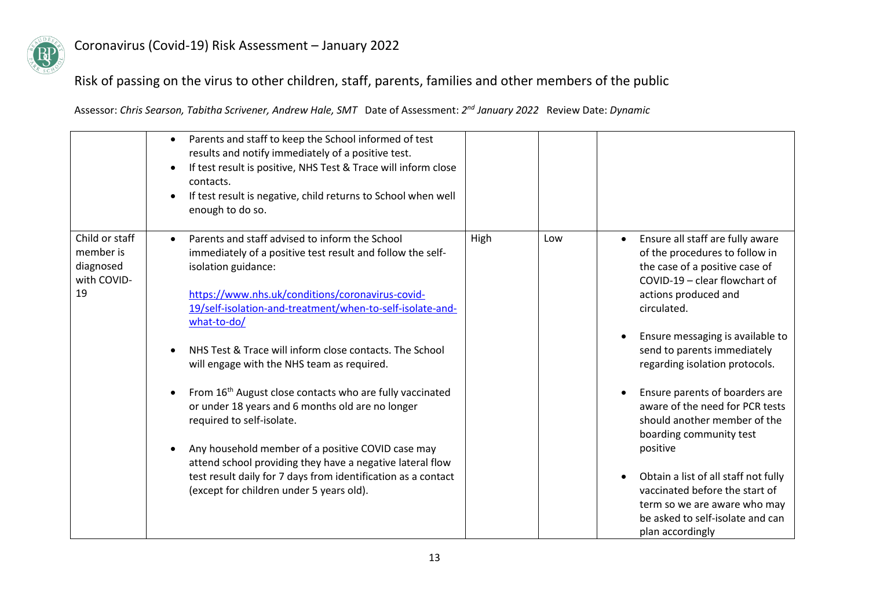

### Risk of passing on the virus to other children, staff, parents, families and other members of the public

|                                                               | Parents and staff to keep the School informed of test<br>$\bullet$<br>results and notify immediately of a positive test.<br>If test result is positive, NHS Test & Trace will inform close<br>$\bullet$<br>contacts.<br>If test result is negative, child returns to School when well<br>enough to do so.                                                                                                                                                                                                                                                                                                                                                                                                                                                            |      |     |                                                                                                                                                                                                                                                                                                                                                                                                                                                                                                                                                                                                              |
|---------------------------------------------------------------|----------------------------------------------------------------------------------------------------------------------------------------------------------------------------------------------------------------------------------------------------------------------------------------------------------------------------------------------------------------------------------------------------------------------------------------------------------------------------------------------------------------------------------------------------------------------------------------------------------------------------------------------------------------------------------------------------------------------------------------------------------------------|------|-----|--------------------------------------------------------------------------------------------------------------------------------------------------------------------------------------------------------------------------------------------------------------------------------------------------------------------------------------------------------------------------------------------------------------------------------------------------------------------------------------------------------------------------------------------------------------------------------------------------------------|
| Child or staff<br>member is<br>diagnosed<br>with COVID-<br>19 | Parents and staff advised to inform the School<br>immediately of a positive test result and follow the self-<br>isolation guidance:<br>https://www.nhs.uk/conditions/coronavirus-covid-<br>19/self-isolation-and-treatment/when-to-self-isolate-and-<br>what-to-do/<br>NHS Test & Trace will inform close contacts. The School<br>will engage with the NHS team as required.<br>From 16 <sup>th</sup> August close contacts who are fully vaccinated<br>or under 18 years and 6 months old are no longer<br>required to self-isolate.<br>Any household member of a positive COVID case may<br>attend school providing they have a negative lateral flow<br>test result daily for 7 days from identification as a contact<br>(except for children under 5 years old). | High | Low | Ensure all staff are fully aware<br>$\bullet$<br>of the procedures to follow in<br>the case of a positive case of<br>COVID-19 - clear flowchart of<br>actions produced and<br>circulated.<br>Ensure messaging is available to<br>send to parents immediately<br>regarding isolation protocols.<br>Ensure parents of boarders are<br>aware of the need for PCR tests<br>should another member of the<br>boarding community test<br>positive<br>Obtain a list of all staff not fully<br>vaccinated before the start of<br>term so we are aware who may<br>be asked to self-isolate and can<br>plan accordingly |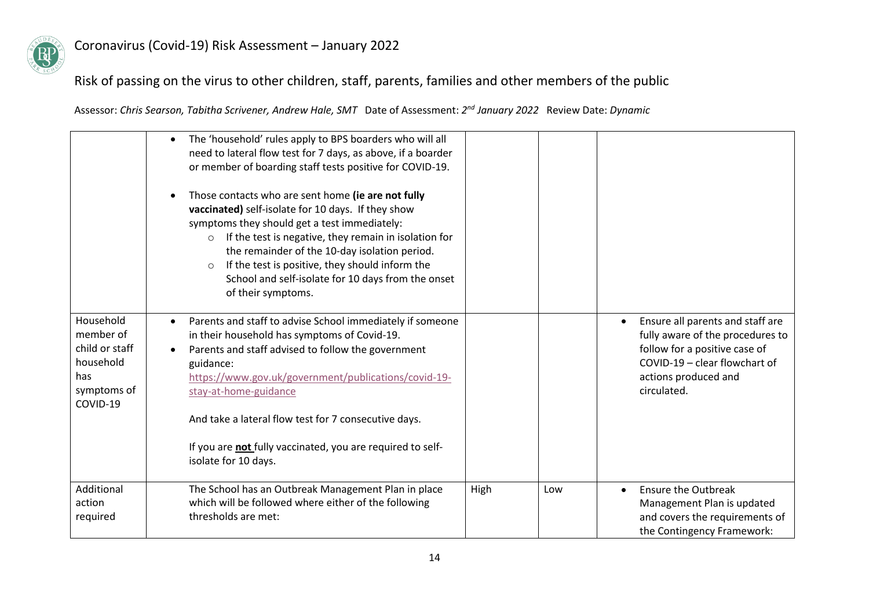

### Risk of passing on the virus to other children, staff, parents, families and other members of the public

|                                                                                         | The 'household' rules apply to BPS boarders who will all<br>$\bullet$<br>need to lateral flow test for 7 days, as above, if a boarder<br>or member of boarding staff tests positive for COVID-19.<br>Those contacts who are sent home (ie are not fully<br>vaccinated) self-isolate for 10 days. If they show<br>symptoms they should get a test immediately:<br>If the test is negative, they remain in isolation for<br>$\circ$<br>the remainder of the 10-day isolation period.<br>If the test is positive, they should inform the<br>$\circ$<br>School and self-isolate for 10 days from the onset<br>of their symptoms. |             |                                                                                                                                                                               |
|-----------------------------------------------------------------------------------------|------------------------------------------------------------------------------------------------------------------------------------------------------------------------------------------------------------------------------------------------------------------------------------------------------------------------------------------------------------------------------------------------------------------------------------------------------------------------------------------------------------------------------------------------------------------------------------------------------------------------------|-------------|-------------------------------------------------------------------------------------------------------------------------------------------------------------------------------|
| Household<br>member of<br>child or staff<br>household<br>has<br>symptoms of<br>COVID-19 | Parents and staff to advise School immediately if someone<br>in their household has symptoms of Covid-19.<br>Parents and staff advised to follow the government<br>guidance:<br>https://www.gov.uk/government/publications/covid-19-<br>stay-at-home-guidance<br>And take a lateral flow test for 7 consecutive days.<br>If you are not fully vaccinated, you are required to self-<br>isolate for 10 days.                                                                                                                                                                                                                  |             | Ensure all parents and staff are<br>fully aware of the procedures to<br>follow for a positive case of<br>COVID-19 - clear flowchart of<br>actions produced and<br>circulated. |
| Additional<br>action<br>required                                                        | The School has an Outbreak Management Plan in place<br>which will be followed where either of the following<br>thresholds are met:                                                                                                                                                                                                                                                                                                                                                                                                                                                                                           | High<br>Low | <b>Ensure the Outbreak</b><br>Management Plan is updated<br>and covers the requirements of<br>the Contingency Framework:                                                      |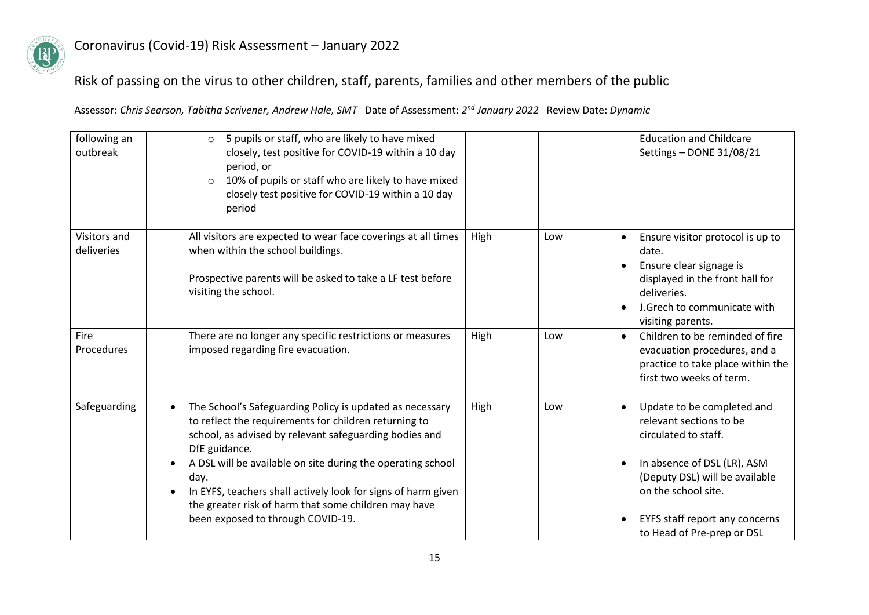

## Risk of passing on the virus to other children, staff, parents, families and other members of the public

| following an<br>outbreak   | 5 pupils or staff, who are likely to have mixed<br>$\circ$<br>closely, test positive for COVID-19 within a 10 day<br>period, or<br>10% of pupils or staff who are likely to have mixed<br>$\circ$<br>closely test positive for COVID-19 within a 10 day<br>period                                                                                                                                                                              |      |     | <b>Education and Childcare</b><br>Settings - DONE 31/08/21                                                                                                                                                                            |
|----------------------------|------------------------------------------------------------------------------------------------------------------------------------------------------------------------------------------------------------------------------------------------------------------------------------------------------------------------------------------------------------------------------------------------------------------------------------------------|------|-----|---------------------------------------------------------------------------------------------------------------------------------------------------------------------------------------------------------------------------------------|
| Visitors and<br>deliveries | All visitors are expected to wear face coverings at all times<br>when within the school buildings.<br>Prospective parents will be asked to take a LF test before<br>visiting the school.                                                                                                                                                                                                                                                       | High | Low | Ensure visitor protocol is up to<br>date.<br>Ensure clear signage is<br>displayed in the front hall for<br>deliveries.<br>J.Grech to communicate with<br>visiting parents.                                                            |
| <b>Fire</b><br>Procedures  | There are no longer any specific restrictions or measures<br>imposed regarding fire evacuation.                                                                                                                                                                                                                                                                                                                                                | High | Low | Children to be reminded of fire<br>evacuation procedures, and a<br>practice to take place within the<br>first two weeks of term.                                                                                                      |
| Safeguarding               | The School's Safeguarding Policy is updated as necessary<br>$\bullet$<br>to reflect the requirements for children returning to<br>school, as advised by relevant safeguarding bodies and<br>DfE guidance.<br>A DSL will be available on site during the operating school<br>day.<br>In EYFS, teachers shall actively look for signs of harm given<br>the greater risk of harm that some children may have<br>been exposed to through COVID-19. | High | Low | Update to be completed and<br>relevant sections to be<br>circulated to staff.<br>In absence of DSL (LR), ASM<br>(Deputy DSL) will be available<br>on the school site.<br>EYFS staff report any concerns<br>to Head of Pre-prep or DSL |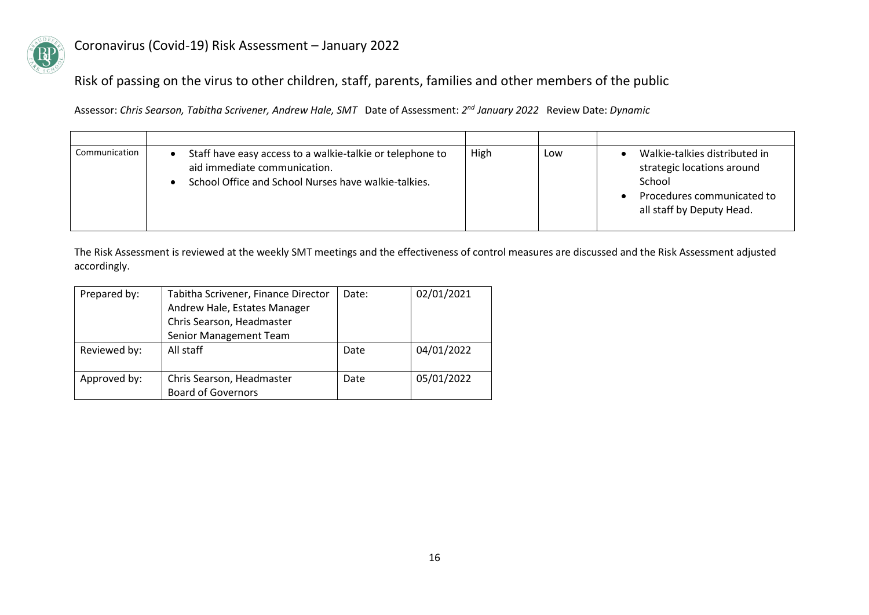

### Risk of passing on the virus to other children, staff, parents, families and other members of the public

Assessor: *Chris Searson, Tabitha Scrivener, Andrew Hale, SMT* Date of Assessment: *2 nd January 2022* Review Date: *Dynamic*

| Communication | Staff have easy access to a walkie-talkie or telephone to<br>aid immediate communication.<br>School Office and School Nurses have walkie-talkies. | High | Low | Walkie-talkies distributed in<br>strategic locations around<br>School<br>Procedures communicated to<br>all staff by Deputy Head. |
|---------------|---------------------------------------------------------------------------------------------------------------------------------------------------|------|-----|----------------------------------------------------------------------------------------------------------------------------------|

The Risk Assessment is reviewed at the weekly SMT meetings and the effectiveness of control measures are discussed and the Risk Assessment adjusted accordingly.

| Prepared by: | Tabitha Scrivener, Finance Director | Date: | 02/01/2021 |
|--------------|-------------------------------------|-------|------------|
|              | Andrew Hale, Estates Manager        |       |            |
|              | Chris Searson, Headmaster           |       |            |
|              | Senior Management Team              |       |            |
| Reviewed by: | All staff                           | Date  | 04/01/2022 |
|              |                                     |       |            |
| Approved by: | Chris Searson, Headmaster           | Date  | 05/01/2022 |
|              | <b>Board of Governors</b>           |       |            |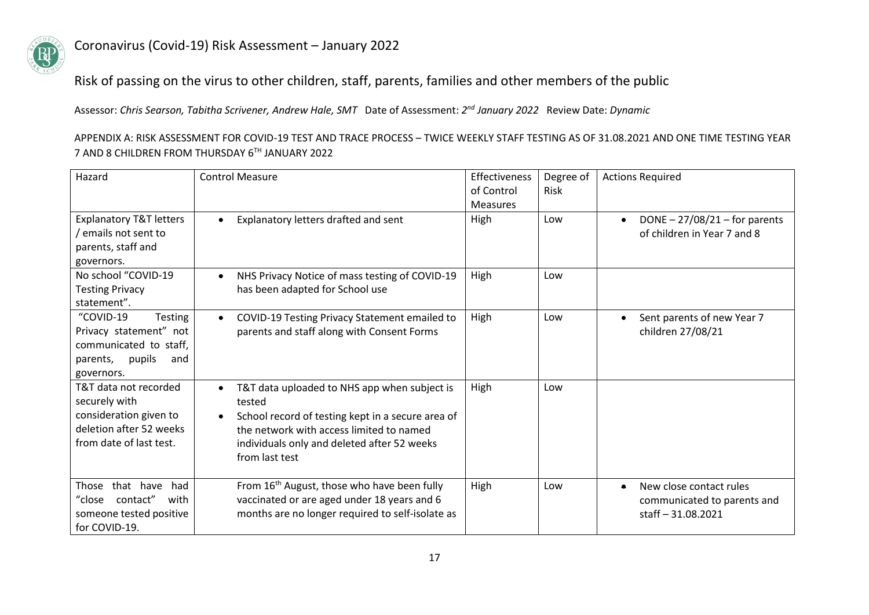

Risk of passing on the virus to other children, staff, parents, families and other members of the public

Assessor: *Chris Searson, Tabitha Scrivener, Andrew Hale, SMT* Date of Assessment: *2 nd January 2022* Review Date: *Dynamic*

APPENDIX A: RISK ASSESSMENT FOR COVID-19 TEST AND TRACE PROCESS – TWICE WEEKLY STAFF TESTING AS OF 31.08.2021 AND ONE TIME TESTING YEAR 7 AND 8 CHILDREN FROM THURSDAY 6TH JANUARY 2022

| Hazard                                                                                                                 | <b>Control Measure</b>                                                                                                                                                                                                                | Effectiveness<br>of Control<br><b>Measures</b> | Degree of<br>Risk | <b>Actions Required</b>                                                                 |
|------------------------------------------------------------------------------------------------------------------------|---------------------------------------------------------------------------------------------------------------------------------------------------------------------------------------------------------------------------------------|------------------------------------------------|-------------------|-----------------------------------------------------------------------------------------|
| <b>Explanatory T&amp;T letters</b><br>emails not sent to<br>parents, staff and<br>governors.                           | Explanatory letters drafted and sent<br>$\bullet$                                                                                                                                                                                     | High                                           | Low               | DONE $- 27/08/21$ – for parents<br>of children in Year 7 and 8                          |
| No school "COVID-19<br><b>Testing Privacy</b><br>statement".                                                           | NHS Privacy Notice of mass testing of COVID-19<br>$\bullet$<br>has been adapted for School use                                                                                                                                        | High                                           | Low               |                                                                                         |
| "COVID-19<br>Testing<br>Privacy statement" not<br>communicated to staff,<br>pupils<br>parents,<br>and<br>governors.    | COVID-19 Testing Privacy Statement emailed to<br>$\bullet$<br>parents and staff along with Consent Forms                                                                                                                              | High                                           | Low               | Sent parents of new Year 7<br>children 27/08/21                                         |
| T&T data not recorded<br>securely with<br>consideration given to<br>deletion after 52 weeks<br>from date of last test. | T&T data uploaded to NHS app when subject is<br>$\bullet$<br>tested<br>School record of testing kept in a secure area of<br>the network with access limited to named<br>individuals only and deleted after 52 weeks<br>from last test | High                                           | Low               |                                                                                         |
| that have<br>had<br>Those<br>contact"<br>"close<br>with<br>someone tested positive<br>for COVID-19.                    | From 16 <sup>th</sup> August, those who have been fully<br>vaccinated or are aged under 18 years and 6<br>months are no longer required to self-isolate as                                                                            | High                                           | Low               | New close contact rules<br>$\bullet$<br>communicated to parents and<br>staff-31.08.2021 |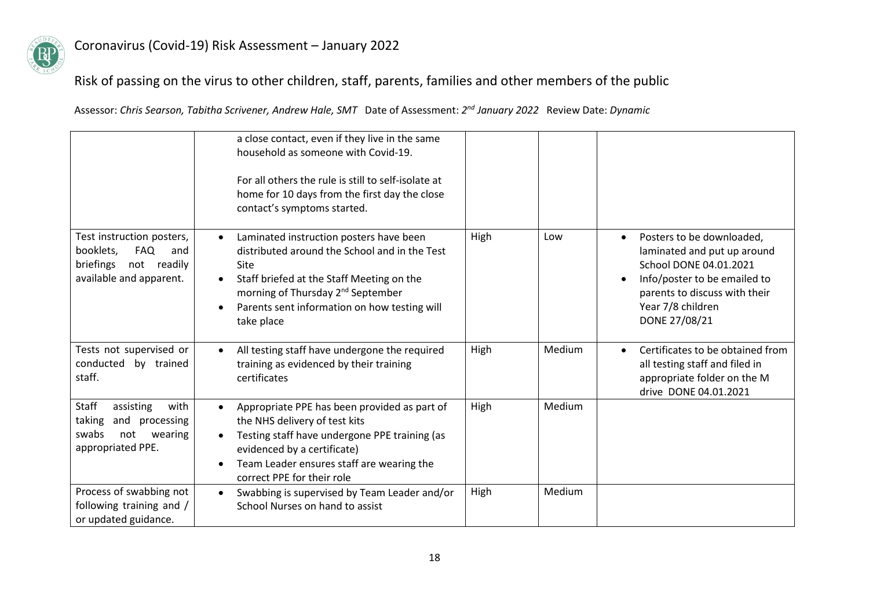

## Risk of passing on the virus to other children, staff, parents, families and other members of the public

|                                                                                                                       | a close contact, even if they live in the same<br>household as someone with Covid-19.<br>For all others the rule is still to self-isolate at<br>home for 10 days from the first day the close<br>contact's symptoms started.                                              |      |        |                                                                                                                                                                                                        |
|-----------------------------------------------------------------------------------------------------------------------|---------------------------------------------------------------------------------------------------------------------------------------------------------------------------------------------------------------------------------------------------------------------------|------|--------|--------------------------------------------------------------------------------------------------------------------------------------------------------------------------------------------------------|
| Test instruction posters,<br>booklets,<br><b>FAQ</b><br>and<br>briefings<br>not<br>readily<br>available and apparent. | Laminated instruction posters have been<br>distributed around the School and in the Test<br>Site<br>Staff briefed at the Staff Meeting on the<br>$\bullet$<br>morning of Thursday 2 <sup>nd</sup> September<br>Parents sent information on how testing will<br>take place | High | Low    | Posters to be downloaded,<br>$\bullet$<br>laminated and put up around<br>School DONE 04.01.2021<br>Info/poster to be emailed to<br>parents to discuss with their<br>Year 7/8 children<br>DONE 27/08/21 |
| Tests not supervised or<br>conducted by trained<br>staff.                                                             | All testing staff have undergone the required<br>$\bullet$<br>training as evidenced by their training<br>certificates                                                                                                                                                     | High | Medium | Certificates to be obtained from<br>all testing staff and filed in<br>appropriate folder on the M<br>drive DONE 04.01.2021                                                                             |
| <b>Staff</b><br>assisting<br>with<br>and processing<br>taking<br>swabs<br>not<br>wearing<br>appropriated PPE.         | Appropriate PPE has been provided as part of<br>$\bullet$<br>the NHS delivery of test kits<br>Testing staff have undergone PPE training (as<br>evidenced by a certificate)<br>Team Leader ensures staff are wearing the<br>correct PPE for their role                     | High | Medium |                                                                                                                                                                                                        |
| Process of swabbing not<br>following training and /<br>or updated guidance.                                           | Swabbing is supervised by Team Leader and/or<br>$\bullet$<br>School Nurses on hand to assist                                                                                                                                                                              | High | Medium |                                                                                                                                                                                                        |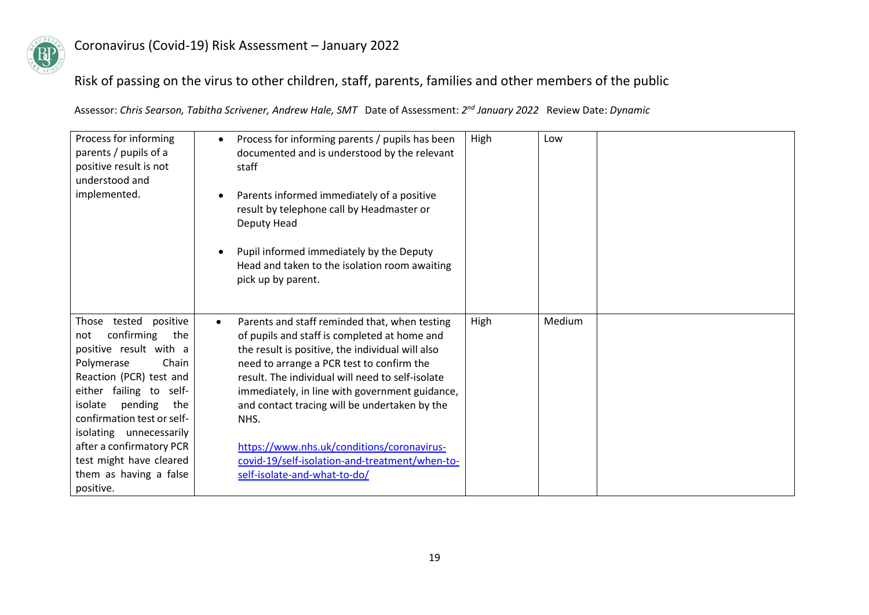

## Risk of passing on the virus to other children, staff, parents, families and other members of the public

| Process for informing<br>parents / pupils of a<br>positive result is not<br>understood and<br>implemented.                                                                                                                                                                                                                                   | Process for informing parents / pupils has been<br>$\bullet$<br>documented and is understood by the relevant<br>staff<br>Parents informed immediately of a positive<br>result by telephone call by Headmaster or<br>Deputy Head<br>Pupil informed immediately by the Deputy<br>Head and taken to the isolation room awaiting<br>pick up by parent.                                                                                                                                                         | High | Low    |  |
|----------------------------------------------------------------------------------------------------------------------------------------------------------------------------------------------------------------------------------------------------------------------------------------------------------------------------------------------|------------------------------------------------------------------------------------------------------------------------------------------------------------------------------------------------------------------------------------------------------------------------------------------------------------------------------------------------------------------------------------------------------------------------------------------------------------------------------------------------------------|------|--------|--|
| Those tested positive<br>confirming<br>the<br>not<br>positive result with a<br>Chain<br>Polymerase<br>Reaction (PCR) test and<br>either failing to self-<br>pending<br>isolate<br>the<br>confirmation test or self-<br>isolating unnecessarily<br>after a confirmatory PCR<br>test might have cleared<br>them as having a false<br>positive. | Parents and staff reminded that, when testing<br>$\bullet$<br>of pupils and staff is completed at home and<br>the result is positive, the individual will also<br>need to arrange a PCR test to confirm the<br>result. The individual will need to self-isolate<br>immediately, in line with government guidance,<br>and contact tracing will be undertaken by the<br>NHS.<br>https://www.nhs.uk/conditions/coronavirus-<br>covid-19/self-isolation-and-treatment/when-to-<br>self-isolate-and-what-to-do/ | High | Medium |  |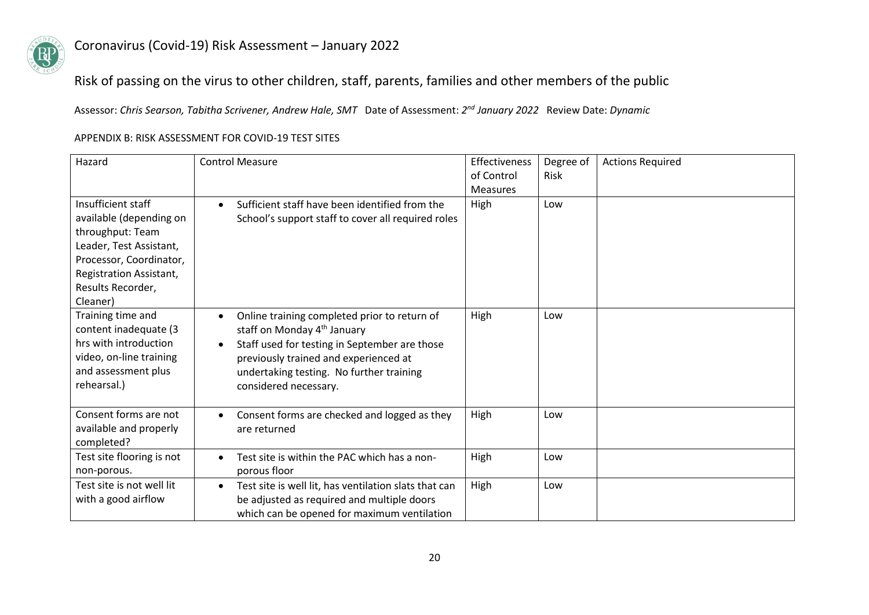

### Risk of passing on the virus to other children, staff, parents, families and other members of the public

Assessor: *Chris Searson, Tabitha Scrivener, Andrew Hale, SMT* Date of Assessment: *2 nd January 2022* Review Date: *Dynamic*

| Hazard                                                                                                                                                                              | <b>Control Measure</b>                                                                                                                                                                                                                                                           | Effectiveness<br>of Control<br><b>Measures</b> | Degree of<br>Risk | <b>Actions Required</b> |
|-------------------------------------------------------------------------------------------------------------------------------------------------------------------------------------|----------------------------------------------------------------------------------------------------------------------------------------------------------------------------------------------------------------------------------------------------------------------------------|------------------------------------------------|-------------------|-------------------------|
| Insufficient staff<br>available (depending on<br>throughput: Team<br>Leader, Test Assistant,<br>Processor, Coordinator,<br>Registration Assistant,<br>Results Recorder,<br>Cleaner) | Sufficient staff have been identified from the<br>$\bullet$<br>School's support staff to cover all required roles                                                                                                                                                                | High                                           | Low               |                         |
| Training time and<br>content inadequate (3<br>hrs with introduction<br>video, on-line training<br>and assessment plus<br>rehearsal.)                                                | Online training completed prior to return of<br>$\bullet$<br>staff on Monday 4 <sup>th</sup> January<br>Staff used for testing in September are those<br>$\bullet$<br>previously trained and experienced at<br>undertaking testing. No further training<br>considered necessary. | High                                           | Low               |                         |
| Consent forms are not<br>available and properly<br>completed?                                                                                                                       | Consent forms are checked and logged as they<br>$\bullet$<br>are returned                                                                                                                                                                                                        | High                                           | Low               |                         |
| Test site flooring is not<br>non-porous.                                                                                                                                            | Test site is within the PAC which has a non-<br>$\bullet$<br>porous floor                                                                                                                                                                                                        | High                                           | Low               |                         |
| Test site is not well lit<br>with a good airflow                                                                                                                                    | Test site is well lit, has ventilation slats that can<br>$\bullet$<br>be adjusted as required and multiple doors<br>which can be opened for maximum ventilation                                                                                                                  | High                                           | Low               |                         |

#### APPENDIX B: RISK ASSESSMENT FOR COVID-19 TEST SITES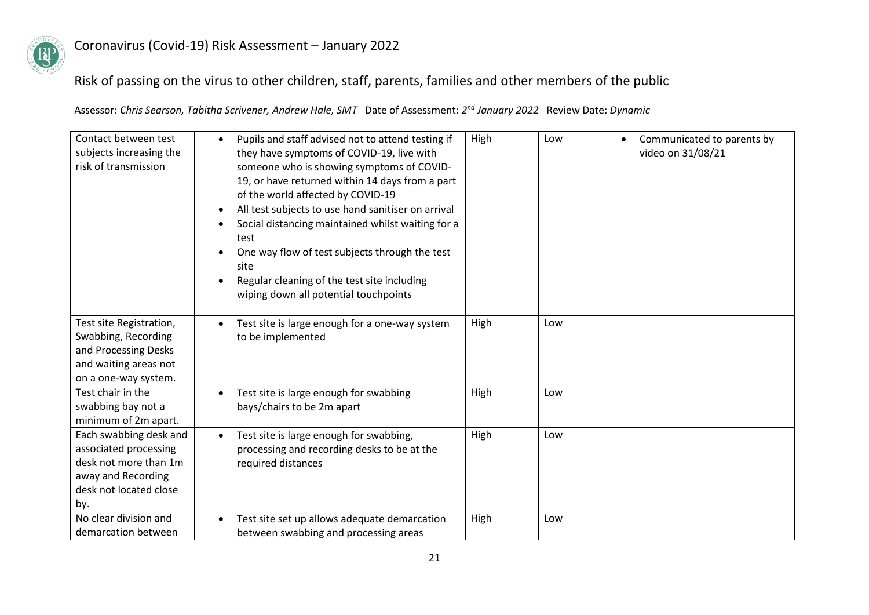

### Risk of passing on the virus to other children, staff, parents, families and other members of the public

| Contact between test<br>subjects increasing the<br>risk of transmission                                                         | Pupils and staff advised not to attend testing if<br>they have symptoms of COVID-19, live with<br>someone who is showing symptoms of COVID-<br>19, or have returned within 14 days from a part<br>of the world affected by COVID-19<br>All test subjects to use hand sanitiser on arrival<br>Social distancing maintained whilst waiting for a<br>test<br>One way flow of test subjects through the test<br>site<br>Regular cleaning of the test site including<br>wiping down all potential touchpoints | High | Low | Communicated to parents by<br>video on 31/08/21 |
|---------------------------------------------------------------------------------------------------------------------------------|----------------------------------------------------------------------------------------------------------------------------------------------------------------------------------------------------------------------------------------------------------------------------------------------------------------------------------------------------------------------------------------------------------------------------------------------------------------------------------------------------------|------|-----|-------------------------------------------------|
| Test site Registration,<br>Swabbing, Recording<br>and Processing Desks<br>and waiting areas not<br>on a one-way system.         | Test site is large enough for a one-way system<br>to be implemented                                                                                                                                                                                                                                                                                                                                                                                                                                      | High | Low |                                                 |
| Test chair in the<br>swabbing bay not a<br>minimum of 2m apart.                                                                 | Test site is large enough for swabbing<br>bays/chairs to be 2m apart                                                                                                                                                                                                                                                                                                                                                                                                                                     | High | Low |                                                 |
| Each swabbing desk and<br>associated processing<br>desk not more than 1m<br>away and Recording<br>desk not located close<br>by. | Test site is large enough for swabbing,<br>$\bullet$<br>processing and recording desks to be at the<br>required distances                                                                                                                                                                                                                                                                                                                                                                                | High | Low |                                                 |
| No clear division and<br>demarcation between                                                                                    | Test site set up allows adequate demarcation<br>between swabbing and processing areas                                                                                                                                                                                                                                                                                                                                                                                                                    | High | Low |                                                 |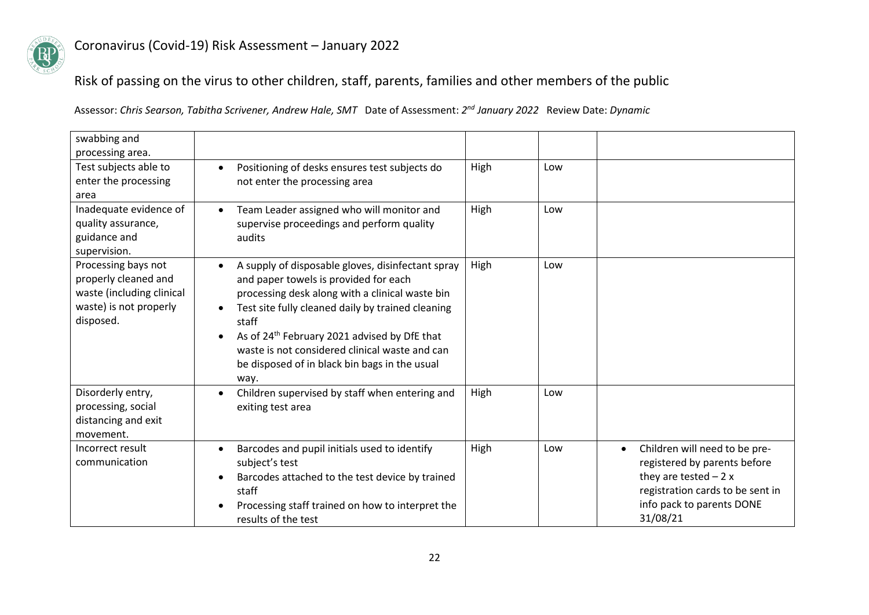

Risk of passing on the virus to other children, staff, parents, families and other members of the public

| swabbing and                                                                                                    |                                                                                                                                                                                                                                                                                                                                                                                                 |      |     |                                                                                                                                                                                  |
|-----------------------------------------------------------------------------------------------------------------|-------------------------------------------------------------------------------------------------------------------------------------------------------------------------------------------------------------------------------------------------------------------------------------------------------------------------------------------------------------------------------------------------|------|-----|----------------------------------------------------------------------------------------------------------------------------------------------------------------------------------|
| processing area.                                                                                                |                                                                                                                                                                                                                                                                                                                                                                                                 |      |     |                                                                                                                                                                                  |
| Test subjects able to<br>enter the processing<br>area                                                           | Positioning of desks ensures test subjects do<br>$\bullet$<br>not enter the processing area                                                                                                                                                                                                                                                                                                     | High | Low |                                                                                                                                                                                  |
| Inadequate evidence of<br>quality assurance,<br>guidance and<br>supervision.                                    | Team Leader assigned who will monitor and<br>supervise proceedings and perform quality<br>audits                                                                                                                                                                                                                                                                                                | High | Low |                                                                                                                                                                                  |
| Processing bays not<br>properly cleaned and<br>waste (including clinical<br>waste) is not properly<br>disposed. | A supply of disposable gloves, disinfectant spray<br>and paper towels is provided for each<br>processing desk along with a clinical waste bin<br>Test site fully cleaned daily by trained cleaning<br>staff<br>As of 24 <sup>th</sup> February 2021 advised by DfE that<br>$\bullet$<br>waste is not considered clinical waste and can<br>be disposed of in black bin bags in the usual<br>way. | High | Low |                                                                                                                                                                                  |
| Disorderly entry,<br>processing, social<br>distancing and exit<br>movement.                                     | Children supervised by staff when entering and<br>$\bullet$<br>exiting test area                                                                                                                                                                                                                                                                                                                | High | Low |                                                                                                                                                                                  |
| Incorrect result<br>communication                                                                               | Barcodes and pupil initials used to identify<br>subject's test<br>Barcodes attached to the test device by trained<br>staff<br>Processing staff trained on how to interpret the<br>results of the test                                                                                                                                                                                           | High | Low | Children will need to be pre-<br>$\bullet$<br>registered by parents before<br>they are tested $-2x$<br>registration cards to be sent in<br>info pack to parents DONE<br>31/08/21 |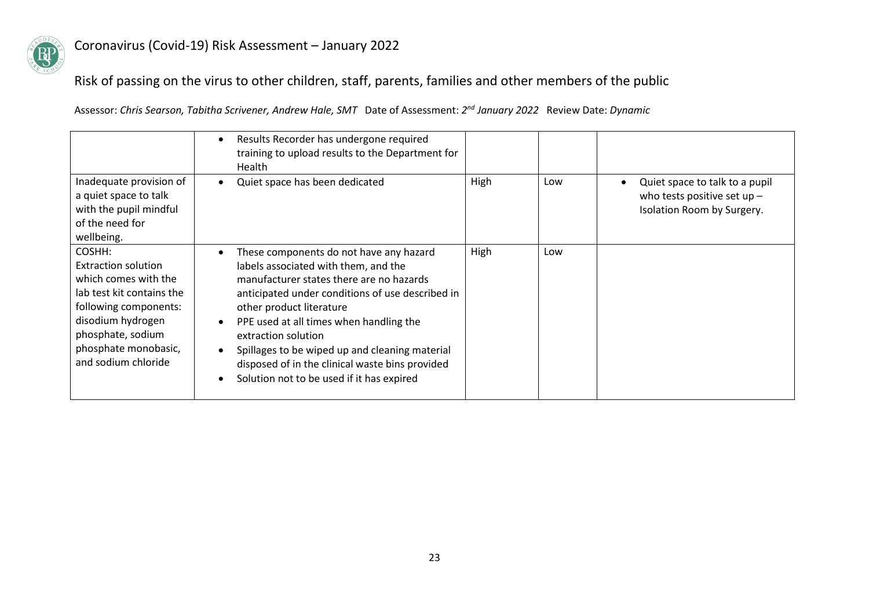

## Risk of passing on the virus to other children, staff, parents, families and other members of the public

|                                                                                                                                                                                                             | Results Recorder has undergone required<br>training to upload results to the Department for<br><b>Health</b>                                                                                                                                                                                                                                                                                                                    |      |     |                                                                                               |
|-------------------------------------------------------------------------------------------------------------------------------------------------------------------------------------------------------------|---------------------------------------------------------------------------------------------------------------------------------------------------------------------------------------------------------------------------------------------------------------------------------------------------------------------------------------------------------------------------------------------------------------------------------|------|-----|-----------------------------------------------------------------------------------------------|
| Inadequate provision of<br>a quiet space to talk<br>with the pupil mindful<br>of the need for<br>wellbeing.                                                                                                 | Quiet space has been dedicated                                                                                                                                                                                                                                                                                                                                                                                                  | High | Low | Quiet space to talk to a pupil<br>who tests positive set up $-$<br>Isolation Room by Surgery. |
| COSHH:<br><b>Extraction solution</b><br>which comes with the<br>lab test kit contains the<br>following components:<br>disodium hydrogen<br>phosphate, sodium<br>phosphate monobasic,<br>and sodium chloride | These components do not have any hazard<br>labels associated with them, and the<br>manufacturer states there are no hazards<br>anticipated under conditions of use described in<br>other product literature<br>PPE used at all times when handling the<br>extraction solution<br>Spillages to be wiped up and cleaning material<br>disposed of in the clinical waste bins provided<br>Solution not to be used if it has expired | High | Low |                                                                                               |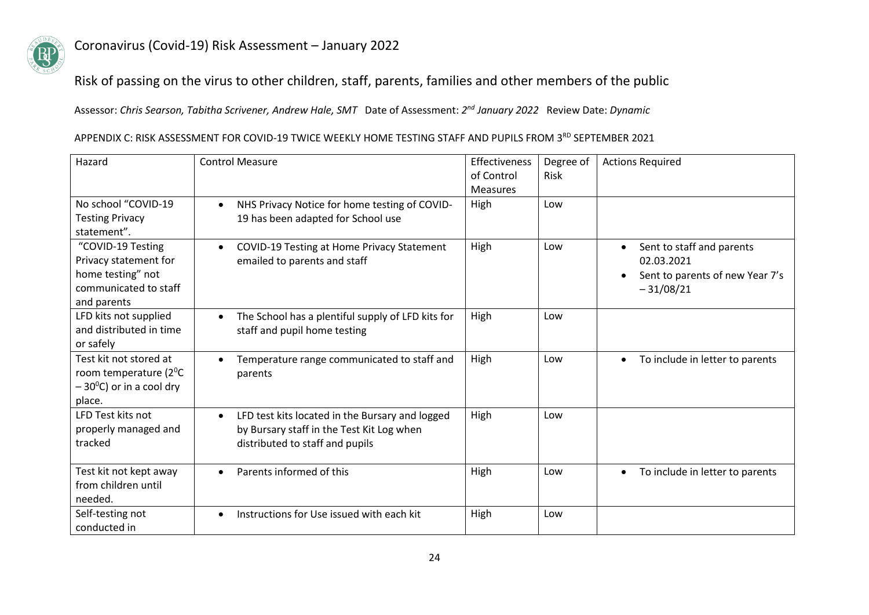

### Risk of passing on the virus to other children, staff, parents, families and other members of the public

Assessor: *Chris Searson, Tabitha Scrivener, Andrew Hale, SMT* Date of Assessment: *2 nd January 2022* Review Date: *Dynamic*

#### APPENDIX C: RISK ASSESSMENT FOR COVID-19 TWICE WEEKLY HOME TESTING STAFF AND PUPILS FROM 3RD SEPTEMBER 2021

| Hazard                                                                                                  | <b>Control Measure</b>                                                                                                                       | <b>Effectiveness</b><br>of Control<br>Measures | Degree of<br><b>Risk</b> | <b>Actions Required</b>                                                                                |
|---------------------------------------------------------------------------------------------------------|----------------------------------------------------------------------------------------------------------------------------------------------|------------------------------------------------|--------------------------|--------------------------------------------------------------------------------------------------------|
| No school "COVID-19<br><b>Testing Privacy</b><br>statement".                                            | NHS Privacy Notice for home testing of COVID-<br>$\bullet$<br>19 has been adapted for School use                                             | High                                           | Low                      |                                                                                                        |
| "COVID-19 Testing<br>Privacy statement for<br>home testing" not<br>communicated to staff<br>and parents | COVID-19 Testing at Home Privacy Statement<br>$\bullet$<br>emailed to parents and staff                                                      | High                                           | Low                      | Sent to staff and parents<br>$\bullet$<br>02.03.2021<br>Sent to parents of new Year 7's<br>$-31/08/21$ |
| LFD kits not supplied<br>and distributed in time<br>or safely                                           | The School has a plentiful supply of LFD kits for<br>staff and pupil home testing                                                            | High                                           | Low                      |                                                                                                        |
| Test kit not stored at<br>room temperature ( $2^0C$<br>$-30$ <sup>o</sup> C) or in a cool dry<br>place. | Temperature range communicated to staff and<br>parents                                                                                       | High                                           | Low                      | To include in letter to parents<br>$\bullet$                                                           |
| LFD Test kits not<br>properly managed and<br>tracked                                                    | LFD test kits located in the Bursary and logged<br>$\bullet$<br>by Bursary staff in the Test Kit Log when<br>distributed to staff and pupils | High                                           | Low                      |                                                                                                        |
| Test kit not kept away<br>from children until<br>needed.                                                | Parents informed of this<br>$\bullet$                                                                                                        | High                                           | Low                      | To include in letter to parents<br>$\bullet$                                                           |
| Self-testing not<br>conducted in                                                                        | Instructions for Use issued with each kit                                                                                                    | High                                           | Low                      |                                                                                                        |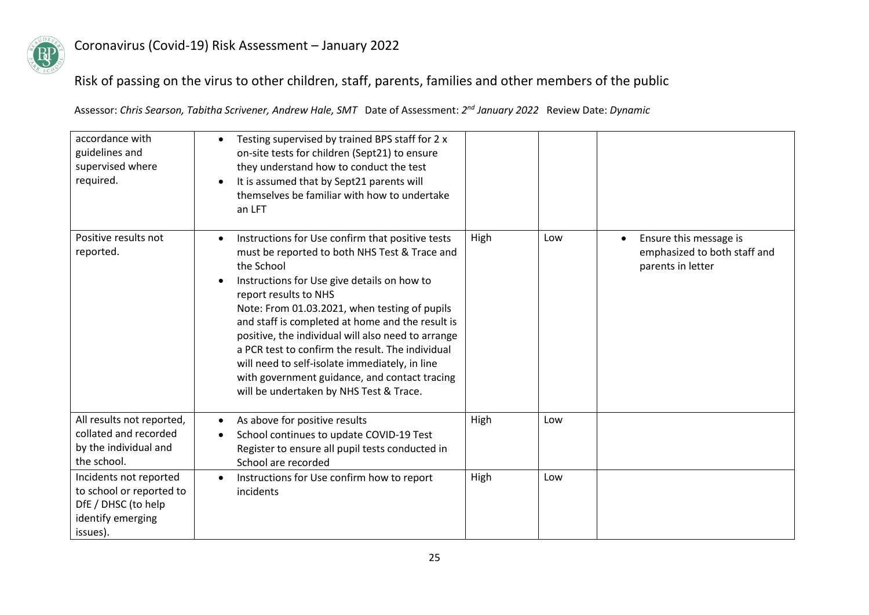

## Risk of passing on the virus to other children, staff, parents, families and other members of the public

| accordance with<br>guidelines and<br>supervised where<br>required.                                         | Testing supervised by trained BPS staff for 2 x<br>on-site tests for children (Sept21) to ensure<br>they understand how to conduct the test<br>It is assumed that by Sept21 parents will<br>$\bullet$<br>themselves be familiar with how to undertake<br>an LFT                                                                                                                                                                                                                                                                                      |      |     |                                                                             |
|------------------------------------------------------------------------------------------------------------|------------------------------------------------------------------------------------------------------------------------------------------------------------------------------------------------------------------------------------------------------------------------------------------------------------------------------------------------------------------------------------------------------------------------------------------------------------------------------------------------------------------------------------------------------|------|-----|-----------------------------------------------------------------------------|
| Positive results not<br>reported.                                                                          | Instructions for Use confirm that positive tests<br>must be reported to both NHS Test & Trace and<br>the School<br>Instructions for Use give details on how to<br>report results to NHS<br>Note: From 01.03.2021, when testing of pupils<br>and staff is completed at home and the result is<br>positive, the individual will also need to arrange<br>a PCR test to confirm the result. The individual<br>will need to self-isolate immediately, in line<br>with government guidance, and contact tracing<br>will be undertaken by NHS Test & Trace. | High | Low | Ensure this message is<br>emphasized to both staff and<br>parents in letter |
| All results not reported,<br>collated and recorded<br>by the individual and<br>the school.                 | As above for positive results<br>School continues to update COVID-19 Test<br>Register to ensure all pupil tests conducted in<br>School are recorded                                                                                                                                                                                                                                                                                                                                                                                                  | High | Low |                                                                             |
| Incidents not reported<br>to school or reported to<br>DfE / DHSC (to help<br>identify emerging<br>issues). | Instructions for Use confirm how to report<br>$\bullet$<br>incidents                                                                                                                                                                                                                                                                                                                                                                                                                                                                                 | High | Low |                                                                             |